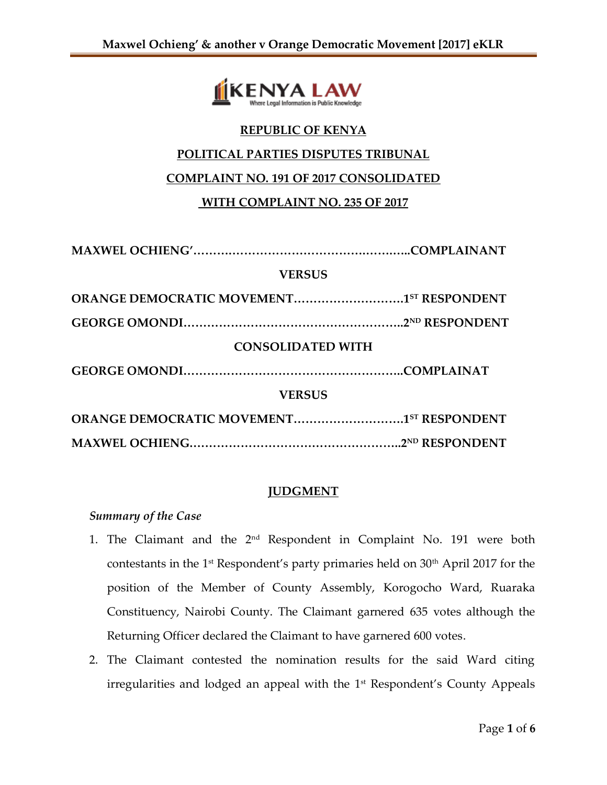

## **REPUBLIC OF KENYA**

#### **POLITICAL PARTIES DISPUTES TRIBUNAL**

### **COMPLAINT NO. 191 OF 2017 CONSOLIDATED**

# **WITH COMPLAINT NO. 235 OF 2017**

| <b>VERSUS</b>                            |  |
|------------------------------------------|--|
| ORANGE DEMOCRATIC MOVEMENT1ST RESPONDENT |  |
|                                          |  |
| <b>CONSOLIDATED WITH</b>                 |  |
|                                          |  |
| <b>VERSUS</b>                            |  |
| ORANGE DEMOCRATIC MOVEMENT1ST RESPONDENT |  |
|                                          |  |

### **JUDGMENT**

#### *Summary of the Case*

- 1. The Claimant and the 2nd Respondent in Complaint No. 191 were both contestants in the 1<sup>st</sup> Respondent's party primaries held on  $30<sup>th</sup>$  April 2017 for the position of the Member of County Assembly, Korogocho Ward, Ruaraka Constituency, Nairobi County. The Claimant garnered 635 votes although the Returning Officer declared the Claimant to have garnered 600 votes.
- 2. The Claimant contested the nomination results for the said Ward citing irregularities and lodged an appeal with the 1<sup>st</sup> Respondent's County Appeals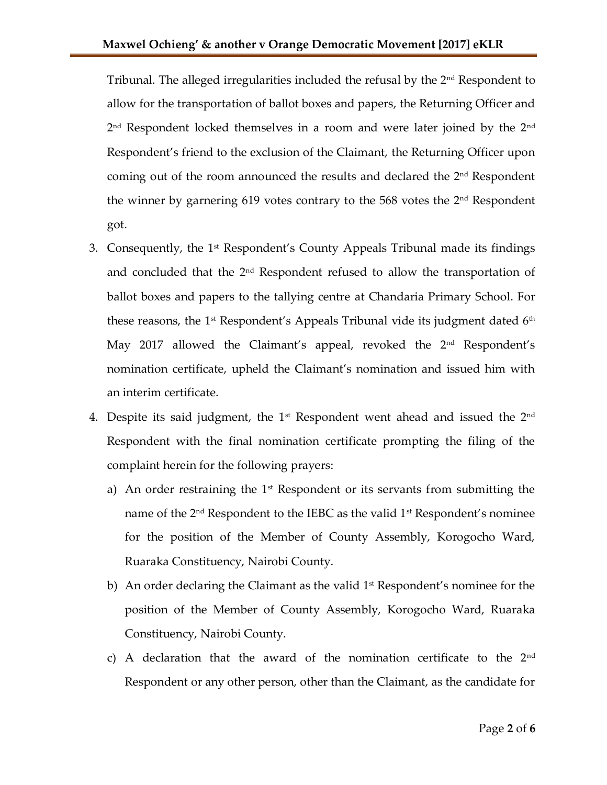Tribunal. The alleged irregularities included the refusal by the 2nd Respondent to allow for the transportation of ballot boxes and papers, the Returning Officer and  $2^{\rm nd}$  Respondent locked themselves in a room and were later joined by the  $2^{\rm nd}$ Respondent's friend to the exclusion of the Claimant, the Returning Officer upon coming out of the room announced the results and declared the  $2<sup>nd</sup>$  Respondent the winner by garnering 619 votes contrary to the 568 votes the  $2<sup>nd</sup>$  Respondent got.

- 3. Consequently, the  $1<sup>st</sup>$  Respondent's County Appeals Tribunal made its findings and concluded that the 2nd Respondent refused to allow the transportation of ballot boxes and papers to the tallying centre at Chandaria Primary School. For these reasons, the  $1<sup>st</sup>$  Respondent's Appeals Tribunal vide its judgment dated  $6<sup>th</sup>$ May 2017 allowed the Claimant's appeal, revoked the 2<sup>nd</sup> Respondent's nomination certificate, upheld the Claimant's nomination and issued him with an interim certificate.
- 4. Despite its said judgment, the  $1<sup>st</sup>$  Respondent went ahead and issued the  $2<sup>nd</sup>$ Respondent with the final nomination certificate prompting the filing of the complaint herein for the following prayers:
	- a) An order restraining the  $1<sup>st</sup>$  Respondent or its servants from submitting the name of the  $2<sup>nd</sup>$  Respondent to the IEBC as the valid  $1<sup>st</sup>$  Respondent's nominee for the position of the Member of County Assembly, Korogocho Ward, Ruaraka Constituency, Nairobi County.
	- b) An order declaring the Claimant as the valid 1<sup>st</sup> Respondent's nominee for the position of the Member of County Assembly, Korogocho Ward, Ruaraka Constituency, Nairobi County.
	- c) A declaration that the award of the nomination certificate to the  $2<sup>nd</sup>$ Respondent or any other person, other than the Claimant, as the candidate for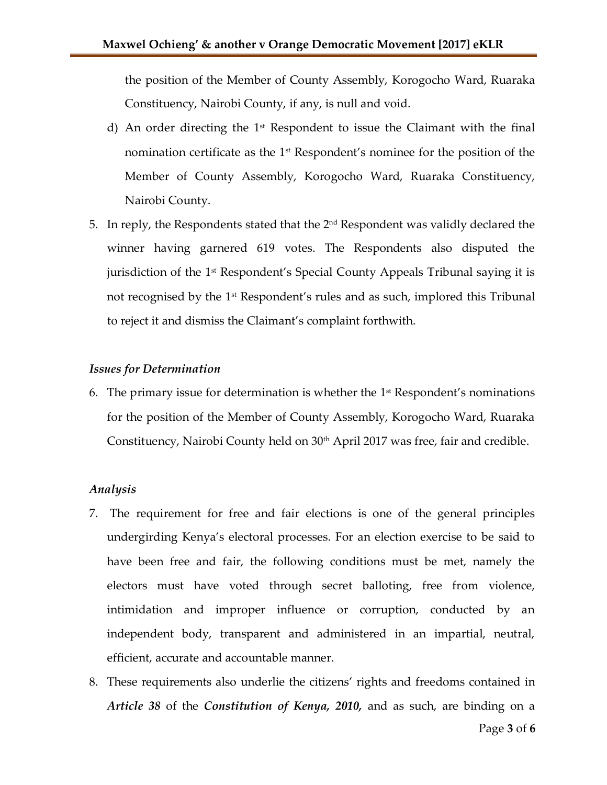the position of the Member of County Assembly, Korogocho Ward, Ruaraka Constituency, Nairobi County, if any, is null and void.

- d) An order directing the  $1<sup>st</sup>$  Respondent to issue the Claimant with the final nomination certificate as the 1st Respondent's nominee for the position of the Member of County Assembly, Korogocho Ward, Ruaraka Constituency, Nairobi County.
- 5. In reply, the Respondents stated that the  $2<sup>nd</sup>$  Respondent was validly declared the winner having garnered 619 votes. The Respondents also disputed the jurisdiction of the 1st Respondent's Special County Appeals Tribunal saying it is not recognised by the 1<sup>st</sup> Respondent's rules and as such, implored this Tribunal to reject it and dismiss the Claimant's complaint forthwith.

#### *Issues for Determination*

6. The primary issue for determination is whether the  $1^{\text{st}}$  Respondent's nominations for the position of the Member of County Assembly, Korogocho Ward, Ruaraka Constituency, Nairobi County held on 30<sup>th</sup> April 2017 was free, fair and credible.

#### *Analysis*

- 7. The requirement for free and fair elections is one of the general principles undergirding Kenya's electoral processes. For an election exercise to be said to have been free and fair, the following conditions must be met, namely the electors must have voted through secret balloting, free from violence, intimidation and improper influence or corruption, conducted by an independent body, transparent and administered in an impartial, neutral, efficient, accurate and accountable manner.
- 8. These requirements also underlie the citizens' rights and freedoms contained in *Article 38* of the *Constitution of Kenya, 2010,* and as such, are binding on a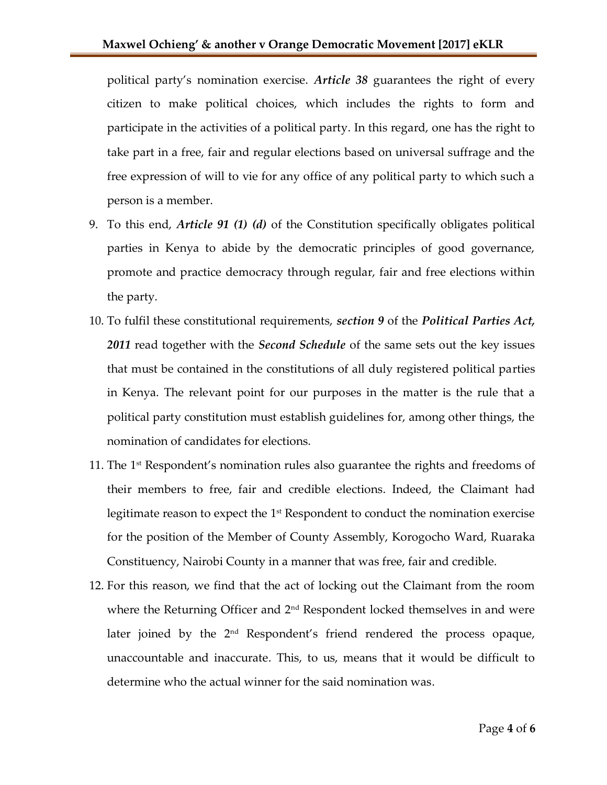political party's nomination exercise. *Article 38* guarantees the right of every citizen to make political choices, which includes the rights to form and participate in the activities of a political party. In this regard, one has the right to take part in a free, fair and regular elections based on universal suffrage and the free expression of will to vie for any office of any political party to which such a person is a member.

- 9. To this end, *Article 91 (1) (d)* of the Constitution specifically obligates political parties in Kenya to abide by the democratic principles of good governance, promote and practice democracy through regular, fair and free elections within the party.
- 10. To fulfil these constitutional requirements, *section 9* of the *Political Parties Act, 2011* read together with the *Second Schedule* of the same sets out the key issues that must be contained in the constitutions of all duly registered political parties in Kenya. The relevant point for our purposes in the matter is the rule that a political party constitution must establish guidelines for, among other things, the nomination of candidates for elections.
- 11. The 1st Respondent's nomination rules also guarantee the rights and freedoms of their members to free, fair and credible elections. Indeed, the Claimant had legitimate reason to expect the  $1^\text{st}$  Respondent to conduct the nomination exercise for the position of the Member of County Assembly, Korogocho Ward, Ruaraka Constituency, Nairobi County in a manner that was free, fair and credible.
- 12. For this reason, we find that the act of locking out the Claimant from the room where the Returning Officer and 2<sup>nd</sup> Respondent locked themselves in and were later joined by the 2<sup>nd</sup> Respondent's friend rendered the process opaque, unaccountable and inaccurate. This, to us, means that it would be difficult to determine who the actual winner for the said nomination was.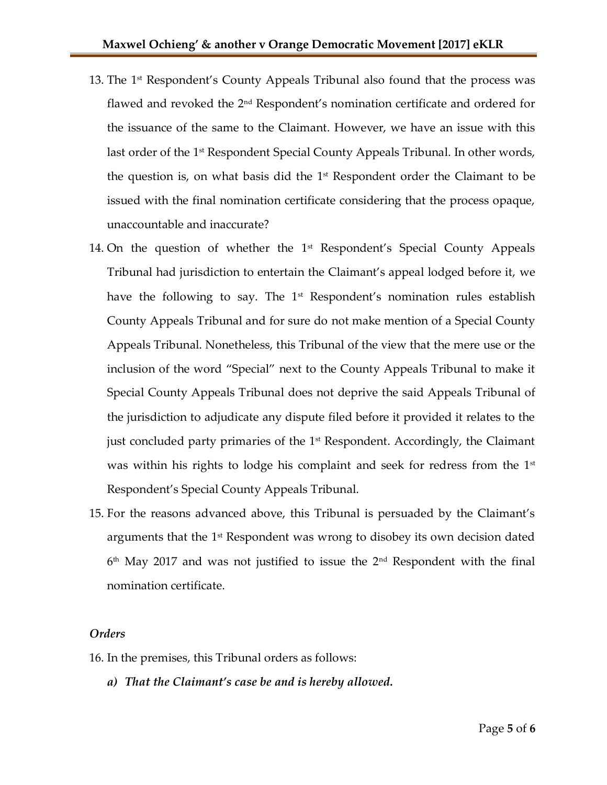- 13. The 1st Respondent's County Appeals Tribunal also found that the process was flawed and revoked the 2<sup>nd</sup> Respondent's nomination certificate and ordered for the issuance of the same to the Claimant. However, we have an issue with this last order of the 1<sup>st</sup> Respondent Special County Appeals Tribunal. In other words, the question is, on what basis did the  $1<sup>st</sup>$  Respondent order the Claimant to be issued with the final nomination certificate considering that the process opaque, unaccountable and inaccurate?
- 14. On the question of whether the  $1<sup>st</sup>$  Respondent's Special County Appeals Tribunal had jurisdiction to entertain the Claimant's appeal lodged before it, we have the following to say. The 1<sup>st</sup> Respondent's nomination rules establish County Appeals Tribunal and for sure do not make mention of a Special County Appeals Tribunal. Nonetheless, this Tribunal of the view that the mere use or the inclusion of the word "Special" next to the County Appeals Tribunal to make it Special County Appeals Tribunal does not deprive the said Appeals Tribunal of the jurisdiction to adjudicate any dispute filed before it provided it relates to the just concluded party primaries of the  $1<sup>st</sup>$  Respondent. Accordingly, the Claimant was within his rights to lodge his complaint and seek for redress from the  $1<sup>st</sup>$ Respondent's Special County Appeals Tribunal.
- 15. For the reasons advanced above, this Tribunal is persuaded by the Claimant's arguments that the  $1<sup>st</sup>$  Respondent was wrong to disobey its own decision dated  $6<sup>th</sup>$  May 2017 and was not justified to issue the 2 $<sup>nd</sup>$  Respondent with the final</sup> nomination certificate.

#### *Orders*

16. In the premises, this Tribunal orders as follows:

*a) That the Claimant's case be and is hereby allowed.*